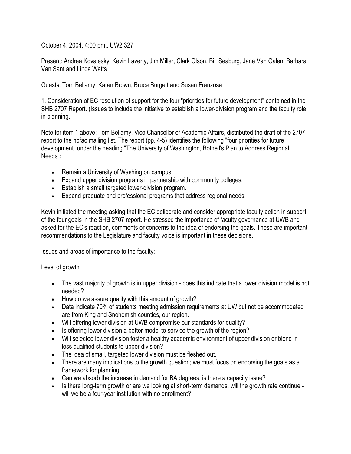October 4, 2004, 4:00 pm., UW2 327

Present: Andrea Kovalesky, Kevin Laverty, Jim Miller, Clark Olson, Bill Seaburg, Jane Van Galen, Barbara Van Sant and Linda Watts

Guests: Tom Bellamy, Karen Brown, Bruce Burgett and Susan Franzosa

1. Consideration of EC resolution of support for the four "priorities for future development" contained in the SHB 2707 Report. (Issues to include the initiative to establish a lower-division program and the faculty role in planning.

Note for item 1 above: Tom Bellamy, Vice Chancellor of Academic Affairs, distributed the draft of the 2707 report to the nbfac mailing list. The report (pp. 4-5) identifies the following "four priorities for future development" under the heading "The University of Washington, Bothell's Plan to Address Regional Needs":

- Remain a University of Washington campus.
- Expand upper division programs in partnership with community colleges.
- Establish a small targeted lower-division program.
- Expand graduate and professional programs that address regional needs.

Kevin initiated the meeting asking that the EC deliberate and consider appropriate faculty action in support of the four goals in the SHB 2707 report. He stressed the importance of faculty governance at UWB and asked for the EC's reaction, comments or concerns to the idea of endorsing the goals. These are important recommendations to the Legislature and faculty voice is important in these decisions.

Issues and areas of importance to the faculty:

Level of growth

- The vast majority of growth is in upper division does this indicate that a lower division model is not needed?
- How do we assure quality with this amount of growth?
- Data indicate 70% of students meeting admission requirements at UW but not be accommodated are from King and Snohomish counties, our region.
- Will offering lower division at UWB compromise our standards for quality?
- Is offering lower division a better model to service the growth of the region?
- Will selected lower division foster a healthy academic environment of upper division or blend in less qualified students to upper division?
- The idea of small, targeted lower division must be fleshed out.
- There are many implications to the growth question; we must focus on endorsing the goals as a framework for planning.
- Can we absorb the increase in demand for BA degrees; is there a capacity issue?
- Is there long-term growth or are we looking at short-term demands, will the growth rate continue will we be a four-year institution with no enrollment?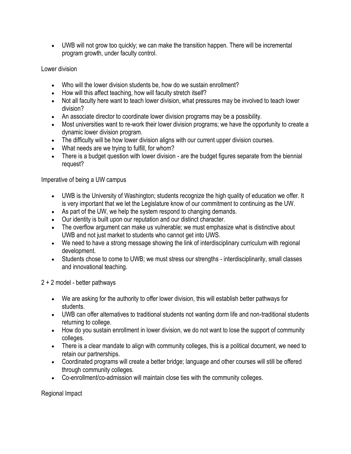UWB will not grow too quickly; we can make the transition happen. There will be incremental program growth, under faculty control.

Lower division

- Who will the lower division students be, how do we sustain enrollment?
- How will this affect teaching, how will faculty stretch itself?
- Not all faculty here want to teach lower division, what pressures may be involved to teach lower division?
- An associate director to coordinate lower division programs may be a possibility.
- Most universities want to re-work their lower division programs; we have the opportunity to create a dynamic lower division program.
- The difficulty will be how lower division aligns with our current upper division courses.
- What needs are we trying to fulfill, for whom?
- There is a budget question with lower division are the budget figures separate from the biennial request?

Imperative of being a UW campus

- UWB is the University of Washington; students recognize the high quality of education we offer. It is very important that we let the Legislature know of our commitment to continuing as the UW.
- As part of the UW, we help the system respond to changing demands.
- Our identity is built upon our reputation and our distinct character.
- The overflow argument can make us vulnerable; we must emphasize what is distinctive about UWB and not just market to students who cannot get into UWS.
- We need to have a strong message showing the link of interdisciplinary curriculum with regional development.
- Students chose to come to UWB; we must stress our strengths interdisciplinarity, small classes and innovational teaching.

2 + 2 model - better pathways

- We are asking for the authority to offer lower division, this will establish better pathways for students.
- UWB can offer alternatives to traditional students not wanting dorm life and non-traditional students returning to college.
- How do you sustain enrollment in lower division, we do not want to lose the support of community colleges.
- There is a clear mandate to align with community colleges, this is a political document, we need to retain our partnerships.
- Coordinated programs will create a better bridge; language and other courses will still be offered through community colleges.
- Co-enrollment/co-admission will maintain close ties with the community colleges.

Regional Impact